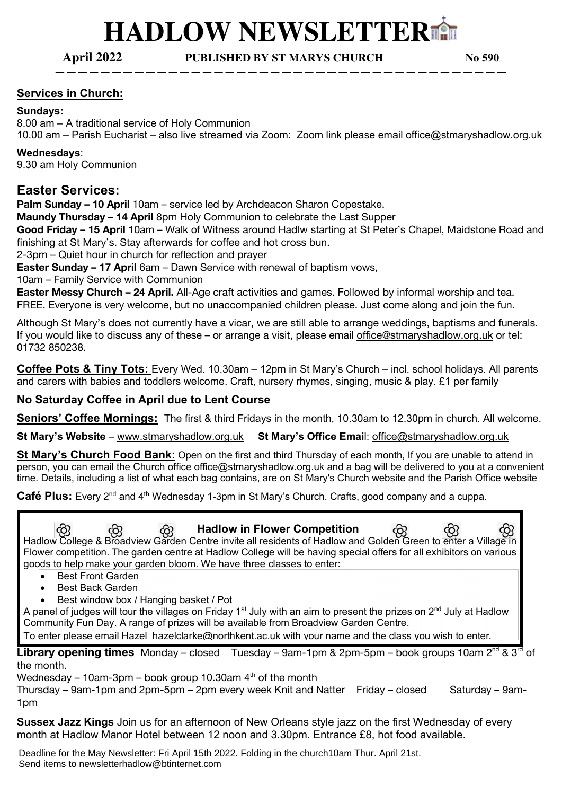# **HADLOW NEWSLETTER**⛪

**April 2022 PUBLISHED BY ST MARYS CHURCH No 590**

**————————————————————————————————————————**

## **Services in Church:**

#### **Sundays:**

8.00 am – A traditional service of Holy Communion 10.00 am – Parish Eucharist – also live streamed via Zoom: Zoom link please email office@stmaryshadlow.org.uk

#### **Wednesdays**:

9.30 am Holy Communion

## **Easter Services:**

**Palm Sunday – 10 April** 10am – service led by Archdeacon Sharon Copestake.

**Maundy Thursday – 14 April** 8pm Holy Communion to celebrate the Last Supper

**Good Friday – 15 April** 10am – Walk of Witness around Hadlw starting at St Peter's Chapel, Maidstone Road and finishing at St Mary's. Stay afterwards for coffee and hot cross bun.

2-3pm – Quiet hour in church for reflection and prayer

**Easter Sunday – 17 April** 6am – Dawn Service with renewal of baptism vows,

10am – Family Service with Communion

**Easter Messy Church – 24 April.** All-Age craft activities and games. Followed by informal worship and tea. FREE. Everyone is very welcome, but no unaccompanied children please. Just come along and join the fun.

Although St Mary's does not currently have a vicar, we are still able to arrange weddings, baptisms and funerals. If you would like to discuss any of these – or arrange a visit, please email office@stmaryshadlow.org.uk or tel: 01732 850238.

**Coffee Pots & Tiny Tots:** Every Wed. 10.30am – 12pm in St Mary's Church – incl. school holidays. All parents and carers with babies and toddlers welcome. Craft, nursery rhymes, singing, music & play. £1 per family

## **No Saturday Coffee in April due to Lent Course**

**Seniors' Coffee Mornings:** The first & third Fridays in the month, 10.30am to 12.30pm in church. All welcome.

**St Mary's Website** – www.stmaryshadlow.org.uk **St Mary's Office Emai**l: office@stmaryshadlow.org.uk

**St Mary's Church Food Bank**: Open on the first and third Thursday of each month, If you are unable to attend in person, you can email the Church office office@stmaryshadlow.org.uk and a bag will be delivered to you at a convenient time. Details, including a list of what each bag contains, are on St Mary's Church website and the Parish Office website

Café Plus: Every 2<sup>nd</sup> and 4<sup>th</sup> Wednesday 1-3pm in St Mary's Church. Crafts, good company and a cuppa.

 **Hadlow in Flower Competition**  Hadlow College & Broadview Garden Centre invite all residents of Hadlow and Golden Green to enter a Village in Flower competition. The garden centre at Hadlow College will be having special offers for all exhibitors on various goods to help make your garden bloom. We have three classes to enter:

- Best Front Garden
- Best Back Garden
- Best window box / Hanging basket / Pot

A panel of judges will tour the villages on Friday 1<sup>st</sup> July with an aim to present the prizes on 2<sup>nd</sup> July at Hadlow Community Fun Day. A range of prizes will be available from Broadview Garden Centre.

To enter please email Hazel hazelclarke@northkent.ac.uk with your name and the class you wish to enter.

**Library opening times** Monday – closed Tuesday – 9am-1pm & 2pm-5pm – book groups 10am 2<sup>nd</sup> & 3<sup>rd</sup> of the month.

Wednesday – 10am-3pm – book group 10.30am  $4<sup>th</sup>$  of the month

Thursday – 9am-1pm and 2pm-5pm – 2pm every week Knit and Natter Friday – closed Saturday – 9am-1pm

**Sussex Jazz Kings** Join us for an afternoon of New Orleans style jazz on the first Wednesday of every month at Hadlow Manor Hotel between 12 noon and 3.30pm. Entrance £8, hot food available.

Deadline for the May Newsletter: Fri April 15th 2022. Folding in the church10am Thur. April 21st. Send items to newsletterhadlow@btinternet.com